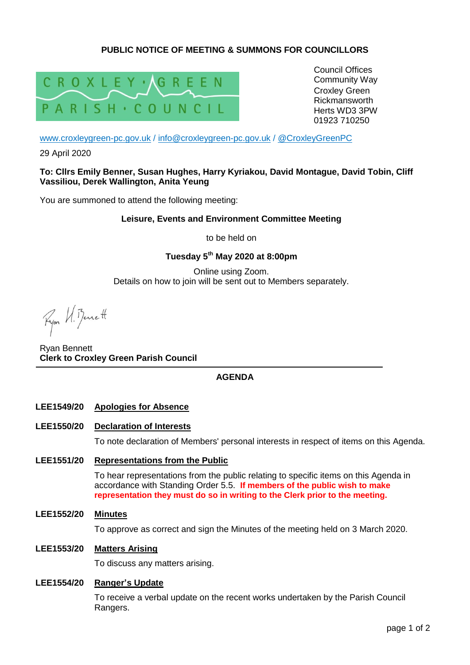## **PUBLIC NOTICE OF MEETING & SUMMONS FOR COUNCILLORS**



Council Offices Community Way Croxley Green Rickmansworth Herts WD3 3PW 01923 710250

[www.croxleygreen-pc.gov.uk](http://www.croxleygreen-pc.gov.uk/) / [info@croxleygreen-pc.gov.uk](mailto:info@croxleygreen-pc.gov.uk) / [@CroxleyGreenPC](https://twitter.com/CroxleyGreenPC)

29 April 2020

#### **To: Cllrs Emily Benner, Susan Hughes, Harry Kyriakou, David Montague, David Tobin, Cliff Vassiliou, Derek Wallington, Anita Yeung**

You are summoned to attend the following meeting:

#### **Leisure, Events and Environment Committee Meeting**

to be held on

### **Tuesday 5 th May 2020 at 8:00pm**

Online using Zoom. Details on how to join will be sent out to Members separately.

Ryon VI. Bennett

Ryan Bennett **Clerk to Croxley Green Parish Council**

### **AGENDA**

- **LEE1549/20 Apologies for Absence**
- **LEE1550/20 Declaration of Interests**

To note declaration of Members' personal interests in respect of items on this Agenda.

#### **LEE1551/20 Representations from the Public**

To hear representations from the public relating to specific items on this Agenda in accordance with Standing Order 5.5. **If members of the public wish to make representation they must do so in writing to the Clerk prior to the meeting.**

#### **LEE1552/20 Minutes**

To approve as correct and sign the Minutes of the meeting held on 3 March 2020.

### **LEE1553/20 Matters Arising**

To discuss any matters arising.

#### **LEE1554/20 Ranger's Update**

To receive a verbal update on the recent works undertaken by the Parish Council Rangers.